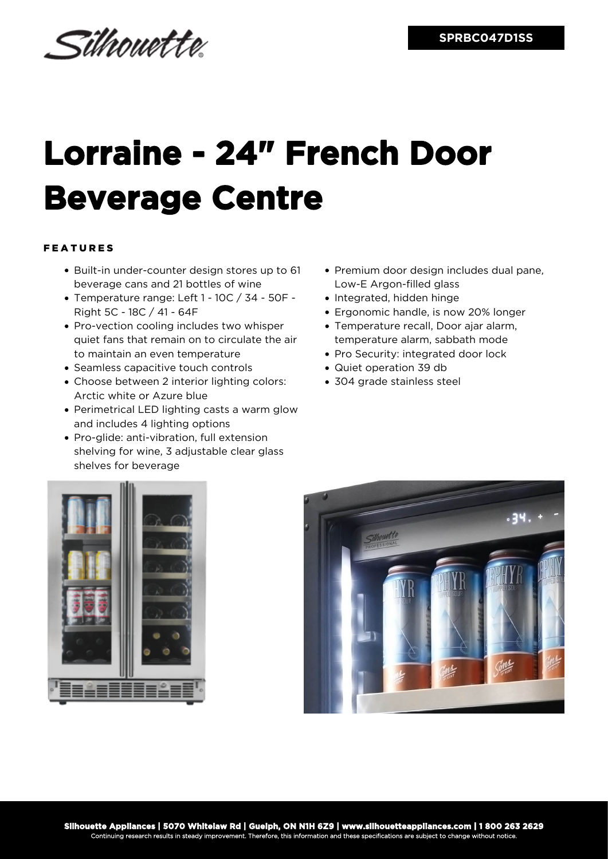Silhouette.

## **Lorraine - 24" French Door Beverage Centre**

## FEATURES

- Built-in under-counter design stores up to 61 beverage cans and 21 bottles of wine
- Temperature range: Left 1 10C / 34 50F Right 5C - 18C / 41 - 64F
- Pro-vection cooling includes two whisper quiet fans that remain on to circulate the air to maintain an even temperature
- Seamless capacitive touch controls
- Choose between 2 interior lighting colors: Arctic white or Azure blue
- Perimetrical LED lighting casts a warm glow and includes 4 lighting options
- Pro-glide: anti-vibration, full extension shelving for wine, 3 adjustable clear glass shelves for beverage
- Premium door design includes dual pane, Low-E Argon-filled glass
- Integrated, hidden hinge
- Ergonomic handle, is now 20% longer
- Temperature recall, Door ajar alarm, temperature alarm, sabbath mode
- Pro Security: integrated door lock
- Quiet operation 39 db
- 304 grade stainless steel